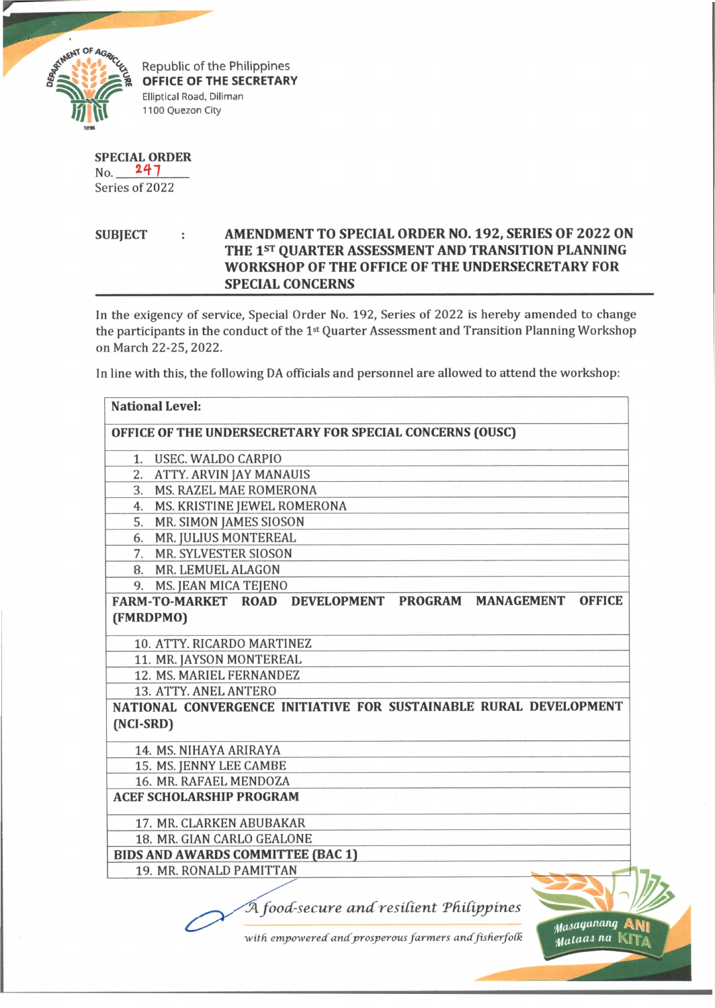

Republic of the Philippines **OFFICE OF THE SECRETARY** Elliptical Road, Diliman 1100 Quezon City

|     | SPECIAL ORDER |
|-----|---------------|
| No. | 247           |

Series of 2022

**SUBJECT : AMENDMENT TO SPECIAL ORDER NO. 192, SERIES OF 2022 ON THE 1st QUARTER ASSESSMENT AND TRANSITION PLANNING WORKSHOP OF THE OFFICE OF THE UNDERSECRETARY FOR SPECIAL CONCERNS**

In the exigency of service, Special Order No. 192, Series of 2022 is hereby amended to change the participants in the conduct of the 1<sup>st</sup> Quarter Assessment and Transition Planning Workshop on March 22-25, 2022.

In line with this, the following DA officials and personnel are allowed to attend the workshop:

| <b>National Level:</b>                   |                                                                        |
|------------------------------------------|------------------------------------------------------------------------|
|                                          | OFFICE OF THE UNDERSECRETARY FOR SPECIAL CONCERNS (OUSC)               |
| 1. USEC. WALDO CARPIO                    |                                                                        |
| 2. ATTY. ARVIN JAY MANAUIS               |                                                                        |
| 3. MS. RAZEL MAE ROMERONA                |                                                                        |
| 4. MS. KRISTINE JEWEL ROMERONA           |                                                                        |
| 5. MR. SIMON JAMES SIOSON                |                                                                        |
| 6. MR. JULIUS MONTEREAL                  |                                                                        |
| 7. MR. SYLVESTER SIOSON                  |                                                                        |
| 8. MR. LEMUEL ALAGON                     |                                                                        |
| 9. MS. JEAN MICA TEJENO                  |                                                                        |
|                                          | FARM-TO-MARKET ROAD DEVELOPMENT PROGRAM MANAGEMENT<br><b>OFFICE</b>    |
| (FMRDPMO)                                |                                                                        |
| 10. ATTY. RICARDO MARTINEZ               |                                                                        |
| 11. MR. JAYSON MONTEREAL                 |                                                                        |
| 12. MS. MARIEL FERNANDEZ                 |                                                                        |
| 13. ATTY. ANEL ANTERO                    |                                                                        |
| (NCI-SRD)                                | NATIONAL CONVERGENCE INITIATIVE FOR SUSTAINABLE RURAL DEVELOPMENT      |
| 14. MS. NIHAYA ARIRAYA                   |                                                                        |
| 15. MS. JENNY LEE CAMBE                  |                                                                        |
| 16. MR. RAFAEL MENDOZA                   |                                                                        |
| <b>ACEF SCHOLARSHIP PROGRAM</b>          |                                                                        |
| 17. MR. CLARKEN ABUBAKAR                 |                                                                        |
| 18. MR. GIAN CARLO GEALONE               |                                                                        |
| <b>BIDS AND AWARDS COMMITTEE (BAC 1)</b> |                                                                        |
| 19. MR. RONALD PAMITTAN                  |                                                                        |
|                                          | A food-secure and resilient Philippines<br>Masaganang                  |
|                                          | with empowered and prosperous farmers and fisherfolk<br>Mataas na Kita |